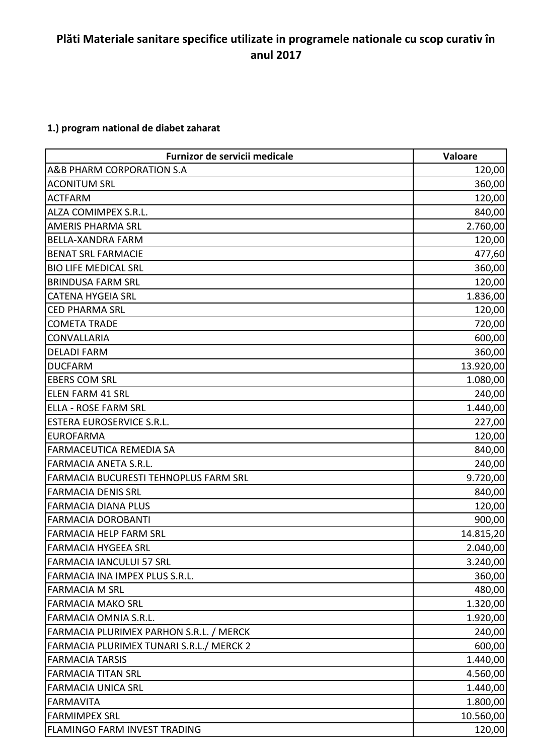## **Plăti Materiale sanitare specifice utilizate in programele nationale cu scop curativ în anul 2017**

## **1.) program national de diabet zaharat**

| Furnizor de servicii medicale                  | Valoare   |
|------------------------------------------------|-----------|
| A&B PHARM CORPORATION S.A                      | 120,00    |
| <b>ACONITUM SRL</b>                            | 360,00    |
| <b>ACTFARM</b>                                 | 120,00    |
| ALZA COMIMPEX S.R.L.                           | 840,00    |
| <b>AMERIS PHARMA SRL</b>                       | 2.760,00  |
| <b>BELLA-XANDRA FARM</b>                       | 120,00    |
| <b>BENAT SRL FARMACIE</b>                      | 477,60    |
| <b>BIO LIFE MEDICAL SRL</b>                    | 360,00    |
| <b>BRINDUSA FARM SRL</b>                       | 120,00    |
| <b>CATENA HYGEIA SRL</b>                       | 1.836,00  |
| <b>CED PHARMA SRL</b>                          | 120,00    |
| <b>COMETA TRADE</b>                            | 720,00    |
| <b>CONVALLARIA</b>                             | 600,00    |
| <b>DELADI FARM</b>                             | 360,00    |
| <b>DUCFARM</b>                                 | 13.920,00 |
| <b>EBERS COM SRL</b>                           | 1.080,00  |
| <b>ELEN FARM 41 SRL</b>                        | 240,00    |
| <b>ELLA - ROSE FARM SRL</b>                    | 1.440,00  |
| <b>ESTERA EUROSERVICE S.R.L.</b>               | 227,00    |
| <b>EUROFARMA</b>                               | 120,00    |
| FARMACEUTICA REMEDIA SA                        | 840,00    |
| FARMACIA ANETA S.R.L.                          | 240,00    |
| FARMACIA BUCURESTI TEHNOPLUS FARM SRL          | 9.720,00  |
| <b>FARMACIA DENIS SRL</b>                      | 840,00    |
| <b>FARMACIA DIANA PLUS</b>                     | 120,00    |
| <b>FARMACIA DOROBANTI</b>                      | 900,00    |
| <b>FARMACIA HELP FARM SRL</b>                  | 14.815,20 |
| <b>FARMACIA HYGEEA SRL</b>                     | 2.040,00  |
| <b>FARMACIA IANCULUI 57 SRL</b>                | 3.240,00  |
| FARMACIA INA IMPEX PLUS S.R.L.                 | 360,00    |
| <b>FARMACIA M SRL</b>                          | 480,00    |
| <b>FARMACIA MAKO SRL</b>                       | 1.320,00  |
| <b>FARMACIA OMNIA S.R.L.</b>                   | 1.920,00  |
| <b>FARMACIA PLURIMEX PARHON S.R.L. / MERCK</b> | 240,00    |
| FARMACIA PLURIMEX TUNARI S.R.L./ MERCK 2       | 600,00    |
| <b>FARMACIA TARSIS</b>                         | 1.440,00  |
| <b>FARMACIA TITAN SRL</b>                      | 4.560,00  |
| <b>FARMACIA UNICA SRL</b>                      | 1.440,00  |
| <b>FARMAVITA</b>                               | 1.800,00  |
| <b>FARMIMPEX SRL</b>                           | 10.560,00 |
| FLAMINGO FARM INVEST TRADING                   | 120,00    |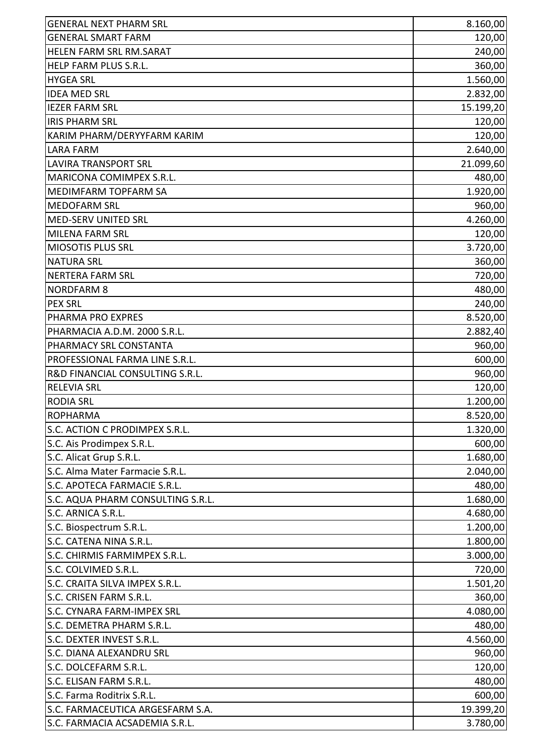| <b>GENERAL NEXT PHARM SRL</b>     | 8.160,00  |
|-----------------------------------|-----------|
| <b>GENERAL SMART FARM</b>         | 120,00    |
| HELEN FARM SRL RM.SARAT           | 240,00    |
| HELP FARM PLUS S.R.L.             | 360,00    |
| <b>HYGEA SRL</b>                  | 1.560,00  |
| <b>IDEA MED SRL</b>               | 2.832,00  |
| <b>IEZER FARM SRL</b>             | 15.199,20 |
| <b>IRIS PHARM SRL</b>             | 120,00    |
| KARIM PHARM/DERYYFARM KARIM       | 120,00    |
| <b>LARA FARM</b>                  | 2.640,00  |
| <b>LAVIRA TRANSPORT SRL</b>       | 21.099,60 |
| MARICONA COMIMPEX S.R.L.          | 480,00    |
| MEDIMFARM TOPFARM SA              | 1.920,00  |
| <b>MEDOFARM SRL</b>               | 960,00    |
| MED-SERV UNITED SRL               | 4.260,00  |
| MILENA FARM SRL                   | 120,00    |
| <b>MIOSOTIS PLUS SRL</b>          | 3.720,00  |
| <b>NATURA SRL</b>                 | 360,00    |
| <b>NERTERA FARM SRL</b>           | 720,00    |
| <b>NORDFARM 8</b>                 | 480,00    |
| <b>PEX SRL</b>                    | 240,00    |
| PHARMA PRO EXPRES                 | 8.520,00  |
| PHARMACIA A.D.M. 2000 S.R.L.      | 2.882,40  |
| PHARMACY SRL CONSTANTA            | 960,00    |
| PROFESSIONAL FARMA LINE S.R.L.    | 600,00    |
| R&D FINANCIAL CONSULTING S.R.L.   | 960,00    |
| <b>RELEVIA SRL</b>                | 120,00    |
| <b>RODIA SRL</b>                  | 1.200,00  |
| <b>ROPHARMA</b>                   | 8.520,00  |
| S.C. ACTION C PRODIMPEX S.R.L.    | 1.320,00  |
| S.C. Ais Prodimpex S.R.L.         | 600,00    |
| S.C. Alicat Grup S.R.L.           | 1.680,00  |
| S.C. Alma Mater Farmacie S.R.L.   | 2.040,00  |
| S.C. APOTECA FARMACIE S.R.L.      | 480,00    |
| S.C. AQUA PHARM CONSULTING S.R.L. | 1.680,00  |
| S.C. ARNICA S.R.L.                | 4.680,00  |
| S.C. Biospectrum S.R.L.           | 1.200,00  |
| S.C. CATENA NINA S.R.L.           | 1.800,00  |
| S.C. CHIRMIS FARMIMPEX S.R.L.     | 3.000,00  |
| S.C. COLVIMED S.R.L.              | 720,00    |
| S.C. CRAITA SILVA IMPEX S.R.L.    | 1.501,20  |
| S.C. CRISEN FARM S.R.L.           | 360,00    |
| S.C. CYNARA FARM-IMPEX SRL        | 4.080,00  |
| S.C. DEMETRA PHARM S.R.L.         | 480,00    |
| S.C. DEXTER INVEST S.R.L.         | 4.560,00  |
| <b>S.C. DIANA ALEXANDRU SRL</b>   | 960,00    |
| S.C. DOLCEFARM S.R.L.             | 120,00    |
| S.C. ELISAN FARM S.R.L.           | 480,00    |
| S.C. Farma Roditrix S.R.L.        | 600,00    |
| S.C. FARMACEUTICA ARGESFARM S.A.  | 19.399,20 |
| S.C. FARMACIA ACSADEMIA S.R.L.    | 3.780,00  |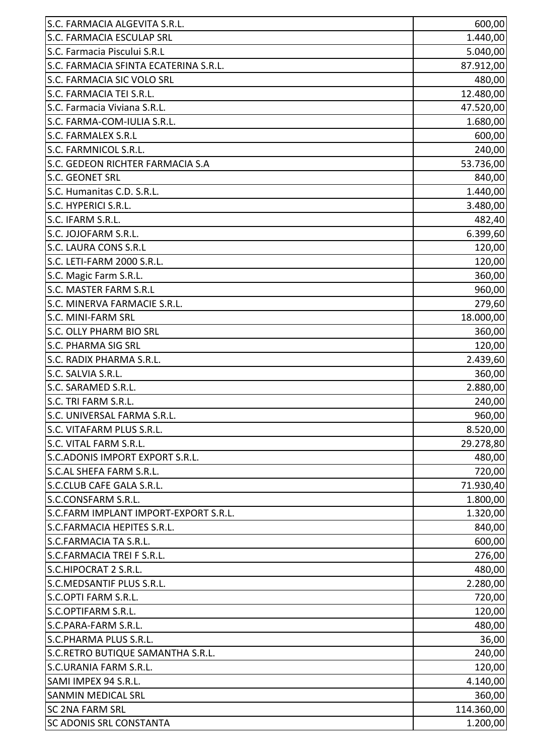| S.C. FARMACIA ALGEVITA S.R.L.          | 600,00     |
|----------------------------------------|------------|
| <b>S.C. FARMACIA ESCULAP SRL</b>       | 1.440,00   |
| S.C. Farmacia Piscului S.R.L           | 5.040,00   |
| S.C. FARMACIA SFINTA ECATERINA S.R.L.  | 87.912,00  |
| S.C. FARMACIA SIC VOLO SRL             | 480,00     |
| S.C. FARMACIA TEI S.R.L.               | 12.480,00  |
| S.C. Farmacia Viviana S.R.L.           | 47.520,00  |
| S.C. FARMA-COM-IULIA S.R.L.            | 1.680,00   |
| <b>S.C. FARMALEX S.R.L</b>             | 600,00     |
| S.C. FARMNICOL S.R.L.                  | 240,00     |
| S.C. GEDEON RICHTER FARMACIA S.A       | 53.736,00  |
| S.C. GEONET SRL                        | 840,00     |
| S.C. Humanitas C.D. S.R.L.             | 1.440,00   |
| S.C. HYPERICI S.R.L.                   | 3.480,00   |
| S.C. IFARM S.R.L.                      | 482,40     |
| S.C. JOJOFARM S.R.L.                   | 6.399,60   |
| S.C. LAURA CONS S.R.L                  | 120,00     |
| S.C. LETI-FARM 2000 S.R.L.             | 120,00     |
| S.C. Magic Farm S.R.L.                 | 360,00     |
| S.C. MASTER FARM S.R.L                 | 960,00     |
| S.C. MINERVA FARMACIE S.R.L.           | 279,60     |
| <b>S.C. MINI-FARM SRL</b>              | 18.000,00  |
| S.C. OLLY PHARM BIO SRL                | 360,00     |
| <b>S.C. PHARMA SIG SRL</b>             | 120,00     |
| S.C. RADIX PHARMA S.R.L.               | 2.439,60   |
| S.C. SALVIA S.R.L.                     | 360,00     |
| S.C. SARAMED S.R.L.                    | 2.880,00   |
| S.C. TRI FARM S.R.L.                   | 240,00     |
| S.C. UNIVERSAL FARMA S.R.L.            | 960,00     |
| S.C. VITAFARM PLUS S.R.L.              | 8.520,00   |
| S.C. VITAL FARM S.R.L.                 | 29.278,80  |
| S.C.ADONIS IMPORT EXPORT S.R.L.        | 480,00     |
| S.C.AL SHEFA FARM S.R.L.               | 720,00     |
| S.C.CLUB CAFE GALA S.R.L.              | 71.930,40  |
| S.C.CONSFARM S.R.L.                    | 1.800,00   |
| ls.c.farm implant import-export s.r.l. | 1.320,00   |
| S.C.FARMACIA HEPITES S.R.L.            | 840,00     |
| S.C.FARMACIA TA S.R.L.                 | 600,00     |
| <b>S.C.FARMACIA TREIF S.R.L.</b>       | 276,00     |
| S.C.HIPOCRAT 2 S.R.L.                  | 480,00     |
| S.C.MEDSANTIF PLUS S.R.L.              | 2.280,00   |
| S.C.OPTI FARM S.R.L.                   | 720,00     |
| S.C.OPTIFARM S.R.L.                    | 120,00     |
| S.C.PARA-FARM S.R.L.                   | 480,00     |
| <b>S.C.PHARMA PLUS S.R.L.</b>          | 36,00      |
| S.C.RETRO BUTIQUE SAMANTHA S.R.L.      | 240,00     |
| <b>S.C.URANIA FARM S.R.L.</b>          | 120,00     |
| SAMI IMPEX 94 S.R.L.                   | 4.140,00   |
| <b>SANMIN MEDICAL SRL</b>              | 360,00     |
| <b>SC 2NA FARM SRL</b>                 | 114.360,00 |
| <b>SC ADONIS SRL CONSTANTA</b>         | 1.200,00   |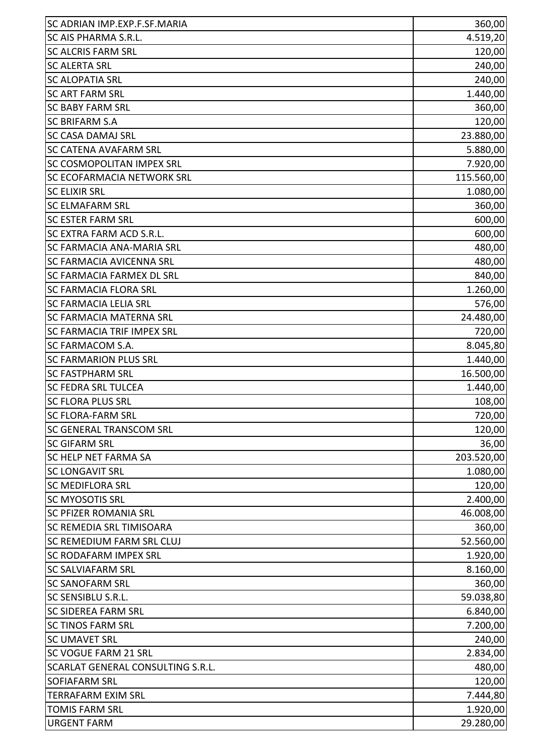| <b>SC ADRIAN IMP.EXP.F.SF.MARIA</b>      | 360,00     |
|------------------------------------------|------------|
| <b>SC AIS PHARMA S.R.L.</b>              | 4.519,20   |
| <b>SC ALCRIS FARM SRL</b>                | 120,00     |
| <b>SC ALERTA SRL</b>                     | 240,00     |
| <b>SC ALOPATIA SRL</b>                   | 240,00     |
| <b>SC ART FARM SRL</b>                   | 1.440,00   |
| <b>SC BABY FARM SRL</b>                  | 360,00     |
| <b>SC BRIFARM S.A</b>                    | 120,00     |
| <b>SC CASA DAMAJ SRL</b>                 | 23.880,00  |
| <b>SC CATENA AVAFARM SRL</b>             | 5.880,00   |
| <b>SC COSMOPOLITAN IMPEX SRL</b>         | 7.920,00   |
| <b>SC ECOFARMACIA NETWORK SRL</b>        | 115.560,00 |
| <b>SC ELIXIR SRL</b>                     | 1.080,00   |
| <b>SC ELMAFARM SRL</b>                   | 360,00     |
| <b>SC ESTER FARM SRL</b>                 | 600,00     |
| <b>SC EXTRA FARM ACD S.R.L.</b>          | 600,00     |
| <b>SC FARMACIA ANA-MARIA SRL</b>         | 480,00     |
| <b>SC FARMACIA AVICENNA SRL</b>          | 480,00     |
| <b>SC FARMACIA FARMEX DL SRL</b>         | 840,00     |
| <b>SC FARMACIA FLORA SRL</b>             | 1.260,00   |
| <b>SC FARMACIA LELIA SRL</b>             | 576,00     |
| <b>SC FARMACIA MATERNA SRL</b>           | 24.480,00  |
| <b>SC FARMACIA TRIF IMPEX SRL</b>        | 720,00     |
| <b>SC FARMACOM S.A.</b>                  | 8.045,80   |
| <b>SC FARMARION PLUS SRL</b>             | 1.440,00   |
| <b>SC FASTPHARM SRL</b>                  | 16.500,00  |
| <b>SC FEDRA SRL TULCEA</b>               | 1.440,00   |
| <b>SC FLORA PLUS SRL</b>                 | 108,00     |
| <b>SC FLORA-FARM SRL</b>                 | 720,00     |
| <b>SC GENERAL TRANSCOM SRL</b>           | 120,00     |
| <b>SC GIFARM SRL</b>                     | 36,00      |
| <b>SC HELP NET FARMA SA</b>              | 203.520,00 |
| <b>SC LONGAVIT SRL</b>                   | 1.080,00   |
| <b>SC MEDIFLORA SRL</b>                  | 120,00     |
| <b>SC MYOSOTIS SRL</b>                   | 2.400,00   |
| <b>SC PFIZER ROMANIA SRL</b>             | 46.008,00  |
| <b>SC REMEDIA SRL TIMISOARA</b>          | 360,00     |
| <b>SC REMEDIUM FARM SRL CLUJ</b>         | 52.560,00  |
| <b>SC RODAFARM IMPEX SRL</b>             | 1.920,00   |
| <b>SC SALVIAFARM SRL</b>                 | 8.160,00   |
| <b>SC SANOFARM SRL</b>                   | 360,00     |
| <b>SC SENSIBLU S.R.L.</b>                | 59.038,80  |
| <b>SC SIDEREA FARM SRL</b>               | 6.840,00   |
| <b>SC TINOS FARM SRL</b>                 | 7.200,00   |
| <b>SC UMAVET SRL</b>                     | 240,00     |
| <b>SC VOGUE FARM 21 SRL</b>              | 2.834,00   |
| <b>SCARLAT GENERAL CONSULTING S.R.L.</b> | 480,00     |
| <b>SOFIAFARM SRL</b>                     | 120,00     |
| <b>TERRAFARM EXIM SRL</b>                | 7.444,80   |
| <b>TOMIS FARM SRL</b>                    | 1.920,00   |
| <b>URGENT FARM</b>                       | 29.280,00  |